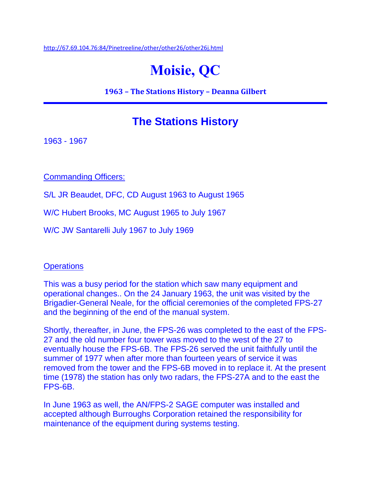<http://67.69.104.76:84/Pinetreeline/other/other26/other26j.html>

## **Moisie, QC**

**1963 – The Stations History – Deanna Gilbert**

## **The Stations History**

1963 - 1967

Commanding Officers:

S/L JR Beaudet, DFC, CD August 1963 to August 1965

W/C Hubert Brooks, MC August 1965 to July 1967

W/C JW Santarelli July 1967 to July 1969

## **Operations**

This was a busy period for the station which saw many equipment and operational changes.. On the 24 January 1963, the unit was visited by the Brigadier-General Neale, for the official ceremonies of the completed FPS-27 and the beginning of the end of the manual system.

Shortly, thereafter, in June, the FPS-26 was completed to the east of the FPS-27 and the old number four tower was moved to the west of the 27 to eventually house the FPS-6B. The FPS-26 served the unit faithfully until the summer of 1977 when after more than fourteen years of service it was removed from the tower and the FPS-6B moved in to replace it. At the present time (1978) the station has only two radars, the FPS-27A and to the east the FPS-6B.

In June 1963 as well, the AN/FPS-2 SAGE computer was installed and accepted although Burroughs Corporation retained the responsibility for maintenance of the equipment during systems testing.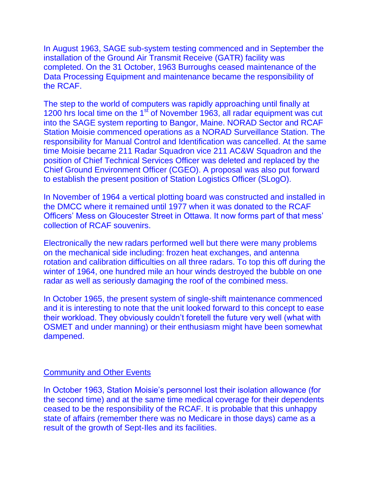In August 1963, SAGE sub-system testing commenced and in September the installation of the Ground Air Transmit Receive (GATR) facility was completed. On the 31 October, 1963 Burroughs ceased maintenance of the Data Processing Equipment and maintenance became the responsibility of the RCAF.

The step to the world of computers was rapidly approaching until finally at 1200 hrs local time on the 1<sup>st</sup> of November 1963, all radar equipment was cut into the SAGE system reporting to Bangor, Maine. NORAD Sector and RCAF Station Moisie commenced operations as a NORAD Surveillance Station. The responsibility for Manual Control and Identification was cancelled. At the same time Moisie became 211 Radar Squadron vice 211 AC&W Squadron and the position of Chief Technical Services Officer was deleted and replaced by the Chief Ground Environment Officer (CGEO). A proposal was also put forward to establish the present position of Station Logistics Officer (SLogO).

In November of 1964 a vertical plotting board was constructed and installed in the DMCC where it remained until 1977 when it was donated to the RCAF Officers' Mess on Gloucester Street in Ottawa. It now forms part of that mess' collection of RCAF souvenirs.

Electronically the new radars performed well but there were many problems on the mechanical side including: frozen heat exchanges, and antenna rotation and calibration difficulties on all three radars. To top this off during the winter of 1964, one hundred mile an hour winds destroyed the bubble on one radar as well as seriously damaging the roof of the combined mess.

In October 1965, the present system of single-shift maintenance commenced and it is interesting to note that the unit looked forward to this concept to ease their workload. They obviously couldn't foretell the future very well (what with OSMET and under manning) or their enthusiasm might have been somewhat dampened.

## Community and Other Events

In October 1963, Station Moisie's personnel lost their isolation allowance (for the second time) and at the same time medical coverage for their dependents ceased to be the responsibility of the RCAF. It is probable that this unhappy state of affairs (remember there was no Medicare in those days) came as a result of the growth of Sept-Iles and its facilities.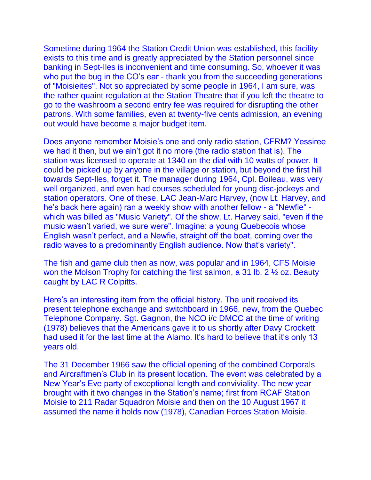Sometime during 1964 the Station Credit Union was established, this facility exists to this time and is greatly appreciated by the Station personnel since banking in Sept-Iles is inconvenient and time consuming. So, whoever it was who put the bug in the CO's ear - thank you from the succeeding generations of "Moisieites". Not so appreciated by some people in 1964, I am sure, was the rather quaint regulation at the Station Theatre that if you left the theatre to go to the washroom a second entry fee was required for disrupting the other patrons. With some families, even at twenty-five cents admission, an evening out would have become a major budget item.

Does anyone remember Moisie's one and only radio station, CFRM? Yessiree we had it then, but we ain't got it no more (the radio station that is). The station was licensed to operate at 1340 on the dial with 10 watts of power. It could be picked up by anyone in the village or station, but beyond the first hill towards Sept-Iles, forget it. The manager during 1964, Cpl. Boileau, was very well organized, and even had courses scheduled for young disc-jockeys and station operators. One of these, LAC Jean-Marc Harvey, (now Lt. Harvey, and he's back here again) ran a weekly show with another fellow - a "Newfie" which was billed as "Music Variety". Of the show, Lt. Harvey said, "even if the music wasn't varied, we sure were". Imagine: a young Quebecois whose English wasn't perfect, and a Newfie, straight off the boat, coming over the radio waves to a predominantly English audience. Now that's variety".

The fish and game club then as now, was popular and in 1964, CFS Moisie won the Molson Trophy for catching the first salmon, a 31 lb. 2 ½ oz. Beauty caught by LAC R Colpitts.

Here's an interesting item from the official history. The unit received its present telephone exchange and switchboard in 1966, new, from the Quebec Telephone Company. Sgt. Gagnon, the NCO i/c DMCC at the time of writing (1978) believes that the Americans gave it to us shortly after Davy Crockett had used it for the last time at the Alamo. It's hard to believe that it's only 13 years old.

The 31 December 1966 saw the official opening of the combined Corporals and Aircraftmen's Club in its present location. The event was celebrated by a New Year's Eve party of exceptional length and conviviality. The new year brought with it two changes in the Station's name; first from RCAF Station Moisie to 211 Radar Squadron Moisie and then on the 10 August 1967 it assumed the name it holds now (1978), Canadian Forces Station Moisie.